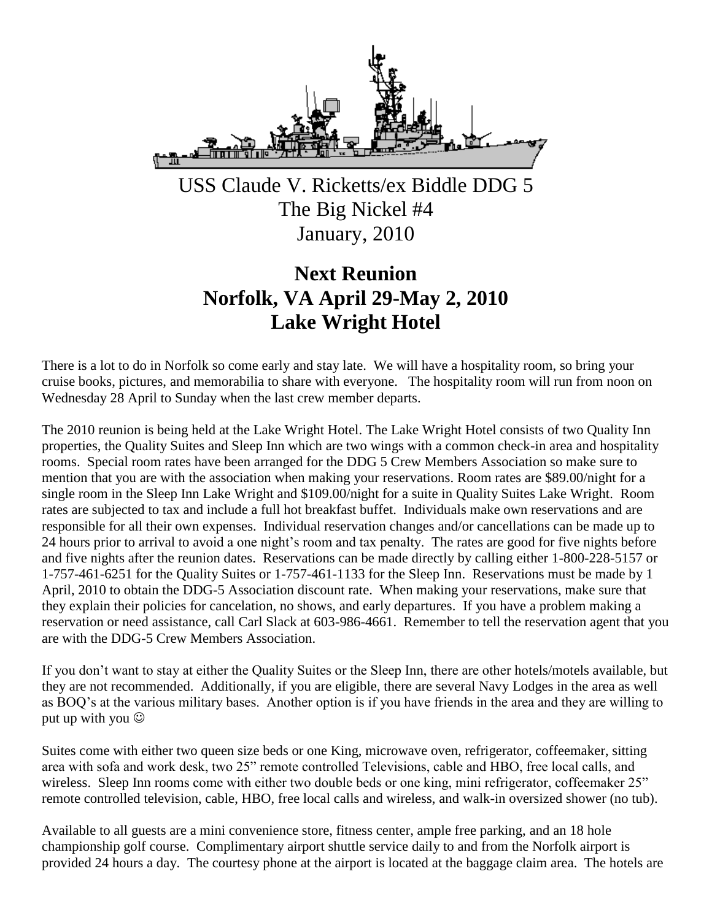

USS Claude V. Ricketts/ex Biddle DDG 5 The Big Nickel #4 January, 2010

# **Next Reunion Norfolk, VA April 29-May 2, 2010 Lake Wright Hotel**

There is a lot to do in Norfolk so come early and stay late. We will have a hospitality room, so bring your cruise books, pictures, and memorabilia to share with everyone. The hospitality room will run from noon on Wednesday 28 April to Sunday when the last crew member departs.

The 2010 reunion is being held at the Lake Wright Hotel. The Lake Wright Hotel consists of two Quality Inn properties, the Quality Suites and Sleep Inn which are two wings with a common check-in area and hospitality rooms. Special room rates have been arranged for the DDG 5 Crew Members Association so make sure to mention that you are with the association when making your reservations. Room rates are \$89.00/night for a single room in the Sleep Inn Lake Wright and \$109.00/night for a suite in Quality Suites Lake Wright. Room rates are subjected to tax and include a full hot breakfast buffet. Individuals make own reservations and are responsible for all their own expenses. Individual reservation changes and/or cancellations can be made up to 24 hours prior to arrival to avoid a one night's room and tax penalty. The rates are good for five nights before and five nights after the reunion dates. Reservations can be made directly by calling either 1-800-228-5157 or 1-757-461-6251 for the Quality Suites or 1-757-461-1133 for the Sleep Inn. Reservations must be made by 1 April, 2010 to obtain the DDG-5 Association discount rate. When making your reservations, make sure that they explain their policies for cancelation, no shows, and early departures. If you have a problem making a reservation or need assistance, call Carl Slack at 603-986-4661. Remember to tell the reservation agent that you are with the DDG-5 Crew Members Association.

If you don't want to stay at either the Quality Suites or the Sleep Inn, there are other hotels/motels available, but they are not recommended. Additionally, if you are eligible, there are several Navy Lodges in the area as well as BOQ's at the various military bases. Another option is if you have friends in the area and they are willing to put up with you  $\odot$ 

Suites come with either two queen size beds or one King, microwave oven, refrigerator, coffeemaker, sitting area with sofa and work desk, two 25" remote controlled Televisions, cable and HBO, free local calls, and wireless. Sleep Inn rooms come with either two double beds or one king, mini refrigerator, coffeemaker 25" remote controlled television, cable, HBO, free local calls and wireless, and walk-in oversized shower (no tub).

Available to all guests are a mini convenience store, fitness center, ample free parking, and an 18 hole championship golf course. Complimentary airport shuttle service daily to and from the Norfolk airport is provided 24 hours a day. The courtesy phone at the airport is located at the baggage claim area. The hotels are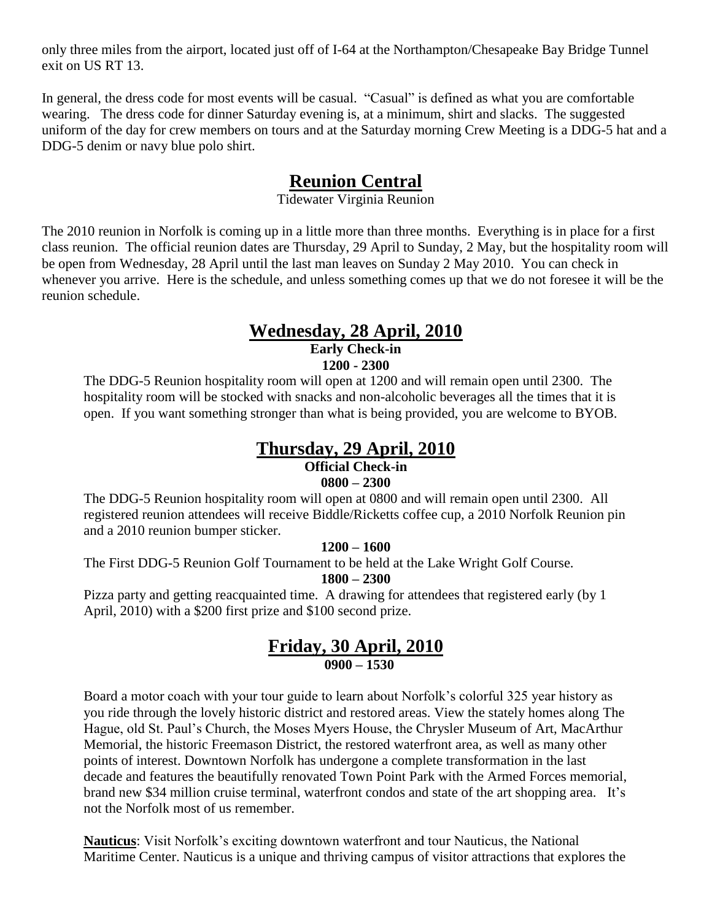only three miles from the airport, located just off of I-64 at the Northampton/Chesapeake Bay Bridge Tunnel exit on US RT 13.

In general, the dress code for most events will be casual. "Casual" is defined as what you are comfortable wearing. The dress code for dinner Saturday evening is, at a minimum, shirt and slacks. The suggested uniform of the day for crew members on tours and at the Saturday morning Crew Meeting is a DDG-5 hat and a DDG-5 denim or navy blue polo shirt.

## **Reunion Central**

Tidewater Virginia Reunion

The 2010 reunion in Norfolk is coming up in a little more than three months. Everything is in place for a first class reunion. The official reunion dates are Thursday, 29 April to Sunday, 2 May, but the hospitality room will be open from Wednesday, 28 April until the last man leaves on Sunday 2 May 2010. You can check in whenever you arrive. Here is the schedule, and unless something comes up that we do not foresee it will be the reunion schedule.

### **Wednesday, 28 April, 2010 Early Check-in 1200 - 2300**

The DDG-5 Reunion hospitality room will open at 1200 and will remain open until 2300. The hospitality room will be stocked with snacks and non-alcoholic beverages all the times that it is open. If you want something stronger than what is being provided, you are welcome to BYOB.

## **Thursday, 29 April, 2010**

## **Official Check-in**

### **0800 – 2300**

The DDG-5 Reunion hospitality room will open at 0800 and will remain open until 2300. All registered reunion attendees will receive Biddle/Ricketts coffee cup, a 2010 Norfolk Reunion pin and a 2010 reunion bumper sticker.

### **1200 – 1600**

The First DDG-5 Reunion Golf Tournament to be held at the Lake Wright Golf Course.

## **1800 – 2300**

Pizza party and getting reacquainted time. A drawing for attendees that registered early (by 1 April, 2010) with a \$200 first prize and \$100 second prize.

## **Friday, 30 April, 2010 0900 – 1530**

Board a motor coach with your tour guide to learn about Norfolk's colorful 325 year history as you ride through the lovely historic district and restored areas. View the stately homes along The Hague, old St. Paul's Church, the Moses Myers House, the Chrysler Museum of Art, MacArthur Memorial, the historic Freemason District, the restored waterfront area, as well as many other points of interest. Downtown Norfolk has undergone a complete transformation in the last decade and features the beautifully renovated Town Point Park with the Armed Forces memorial, brand new \$34 million cruise terminal, waterfront condos and state of the art shopping area. It's not the Norfolk most of us remember.

**Nauticus**: Visit Norfolk's exciting downtown waterfront and tour Nauticus, the National Maritime Center. Nauticus is a unique and thriving campus of visitor attractions that explores the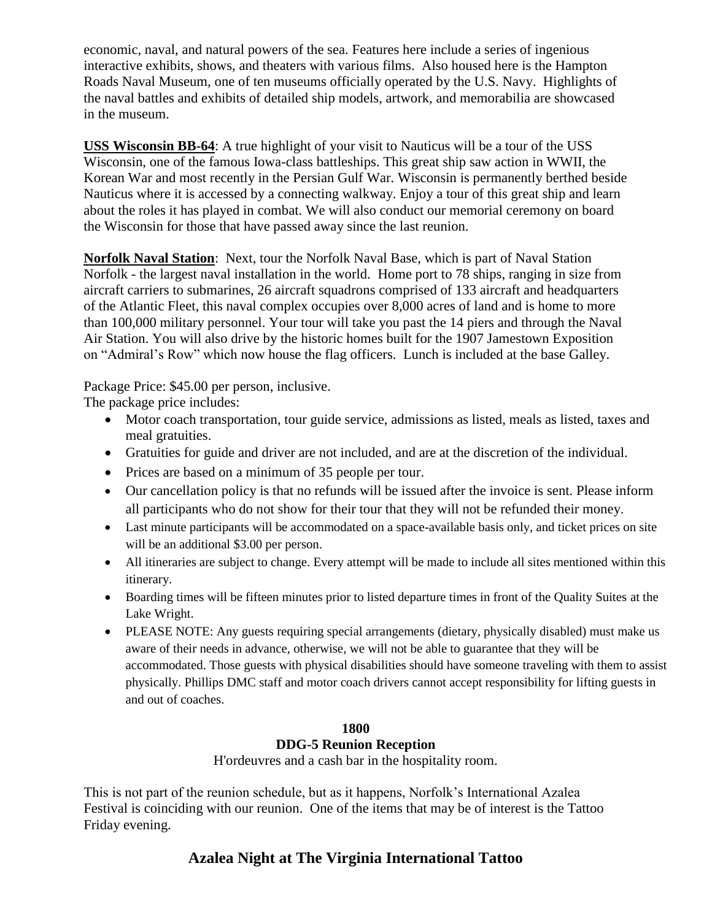economic, naval, and natural powers of the sea. Features here include a series of ingenious interactive exhibits, shows, and theaters with various films. Also housed here is the Hampton Roads Naval Museum, one of ten museums officially operated by the U.S. Navy. Highlights of the naval battles and exhibits of detailed ship models, artwork, and memorabilia are showcased in the museum.

**USS Wisconsin BB-64**: A true highlight of your visit to Nauticus will be a tour of the USS Wisconsin, one of the famous Iowa-class battleships. This great ship saw action in WWII, the Korean War and most recently in the Persian Gulf War. Wisconsin is permanently berthed beside Nauticus where it is accessed by a connecting walkway. Enjoy a tour of this great ship and learn about the roles it has played in combat. We will also conduct our memorial ceremony on board the Wisconsin for those that have passed away since the last reunion.

**Norfolk Naval Station**: Next, tour the Norfolk Naval Base, which is part of Naval Station Norfolk - the largest naval installation in the world. Home port to 78 ships, ranging in size from aircraft carriers to submarines, 26 aircraft squadrons comprised of 133 aircraft and headquarters of the Atlantic Fleet, this naval complex occupies over 8,000 acres of land and is home to more than 100,000 military personnel. Your tour will take you past the 14 piers and through the Naval Air Station. You will also drive by the historic homes built for the 1907 Jamestown Exposition on "Admiral's Row" which now house the flag officers. Lunch is included at the base Galley.

Package Price: \$45.00 per person, inclusive.

The package price includes:

- Motor coach transportation, tour guide service, admissions as listed, meals as listed, taxes and meal gratuities.
- Gratuities for guide and driver are not included, and are at the discretion of the individual.
- Prices are based on a minimum of 35 people per tour.
- Our cancellation policy is that no refunds will be issued after the invoice is sent. Please inform all participants who do not show for their tour that they will not be refunded their money.
- Last minute participants will be accommodated on a space-available basis only, and ticket prices on site will be an additional \$3.00 per person.
- All itineraries are subject to change. Every attempt will be made to include all sites mentioned within this itinerary.
- Boarding times will be fifteen minutes prior to listed departure times in front of the Quality Suites at the Lake Wright.
- PLEASE NOTE: Any guests requiring special arrangements (dietary, physically disabled) must make us aware of their needs in advance, otherwise, we will not be able to guarantee that they will be accommodated. Those guests with physical disabilities should have someone traveling with them to assist physically. Phillips DMC staff and motor coach drivers cannot accept responsibility for lifting guests in and out of coaches.

### **1800**

## **DDG-5 Reunion Reception**

H'ordeuvres and a cash bar in the hospitality room.

This is not part of the reunion schedule, but as it happens, Norfolk's International Azalea Festival is coinciding with our reunion. One of the items that may be of interest is the Tattoo Friday evening.

## **Azalea Night at The Virginia International Tattoo**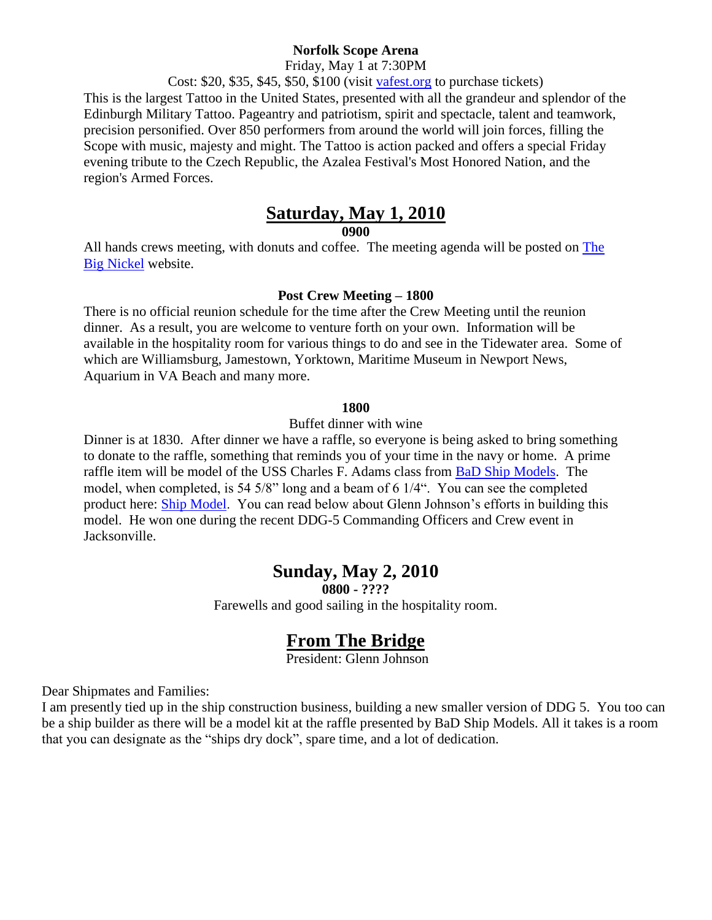#### **Norfolk Scope Arena**

Friday, May 1 at 7:30PM

Cost: \$20, \$35, \$45, \$50, \$100 (visit [vafest.org](http://vafest.org/2010/index.php) to purchase tickets)

This is the largest Tattoo in the United States, presented with all the grandeur and splendor of the Edinburgh Military Tattoo. Pageantry and patriotism, spirit and spectacle, talent and teamwork, precision personified. Over 850 performers from around the world will join forces, filling the Scope with music, majesty and might. The Tattoo is action packed and offers a special Friday evening tribute to the Czech Republic, the Azalea Festival's Most Honored Nation, and the region's Armed Forces.

## **Saturday, May 1, 2010**

**0900**

All hands crews meeting, with donuts and coffee. The meeting agenda will be posted on [The](http://thebignickel.org/)  [Big Nickel](http://thebignickel.org/) website.

#### **Post Crew Meeting – 1800**

There is no official reunion schedule for the time after the Crew Meeting until the reunion dinner. As a result, you are welcome to venture forth on your own. Information will be available in the hospitality room for various things to do and see in the Tidewater area. Some of which are Williamsburg, Jamestown, Yorktown, Maritime Museum in Newport News, Aquarium in VA Beach and many more.

#### **1800**

Buffet dinner with wine

Dinner is at 1830. After dinner we have a raffle, so everyone is being asked to bring something to donate to the raffle, something that reminds you of your time in the navy or home. A prime raffle item will be model of the USS Charles F. Adams class from [BaD Ship Models.](http://www.badshipmodels.com/index.html) The model, when completed, is 54 5/8" long and a beam of 6 1/4". You can see the completed product here: [Ship Model.](http://thebignickel.org/ShipModel.html) You can read below about Glenn Johnson's efforts in building this model. He won one during the recent DDG-5 Commanding Officers and Crew event in Jacksonville.

## **Sunday, May 2, 2010**

**0800 - ????**

Farewells and good sailing in the hospitality room.

## **From The Bridge**

President: Glenn Johnson

Dear Shipmates and Families:

I am presently tied up in the ship construction business, building a new smaller version of DDG 5. You too can be a ship builder as there will be a model kit at the raffle presented by BaD Ship Models. All it takes is a room that you can designate as the "ships dry dock", spare time, and a lot of dedication.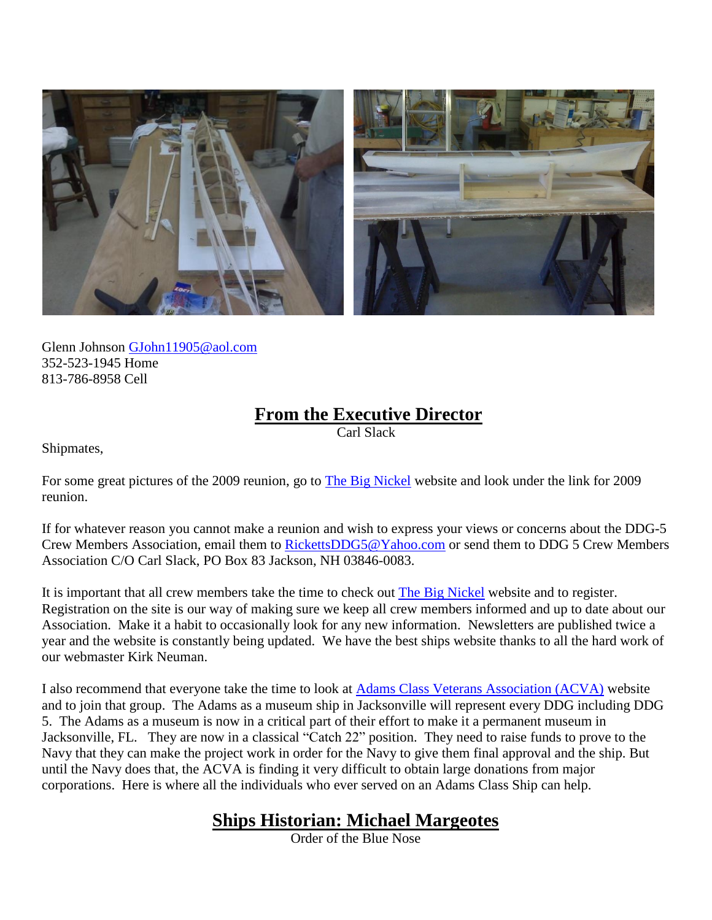

Glenn Johnson [GJohn11905@aol.com](mailto:GJohn11905@aol.com) 352-523-1945 Home 813-786-8958 Cell

# **From the Executive Director**

Carl Slack

Shipmates,

For some great pictures of the 2009 reunion, go to **The Big Nickel** website and look under the link for 2009 reunion.

If for whatever reason you cannot make a reunion and wish to express your views or concerns about the DDG-5 Crew Members Association, email them to [RickettsDDG5@Yahoo.com](mailto:rickettsddg5@yahoo.com) or send them to DDG 5 Crew Members Association C/O Carl Slack, PO Box 83 Jackson, NH 03846-0083.

It is important that all crew members take the time to check out **The Big [Nickel](http://thebignickel.org/)** website and to register. Registration on the site is our way of making sure we keep all crew members informed and up to date about our Association. Make it a habit to occasionally look for any new information. Newsletters are published twice a year and the website is constantly being updated. We have the best ships website thanks to all the hard work of our webmaster Kirk Neuman.

I also recommend that everyone take the time to look at [Adams Class Veterans Association \(ACVA\)](http://www.adamsclassddgvets.org/) website and to join that group. The Adams as a museum ship in Jacksonville will represent every DDG including DDG 5. The Adams as a museum is now in a critical part of their effort to make it a permanent museum in Jacksonville, FL. They are now in a classical "Catch 22" position. They need to raise funds to prove to the Navy that they can make the project work in order for the Navy to give them final approval and the ship. But until the Navy does that, the ACVA is finding it very difficult to obtain large donations from major corporations. Here is where all the individuals who ever served on an Adams Class Ship can help.

# **Ships Historian: Michael Margeotes**

Order of the Blue Nose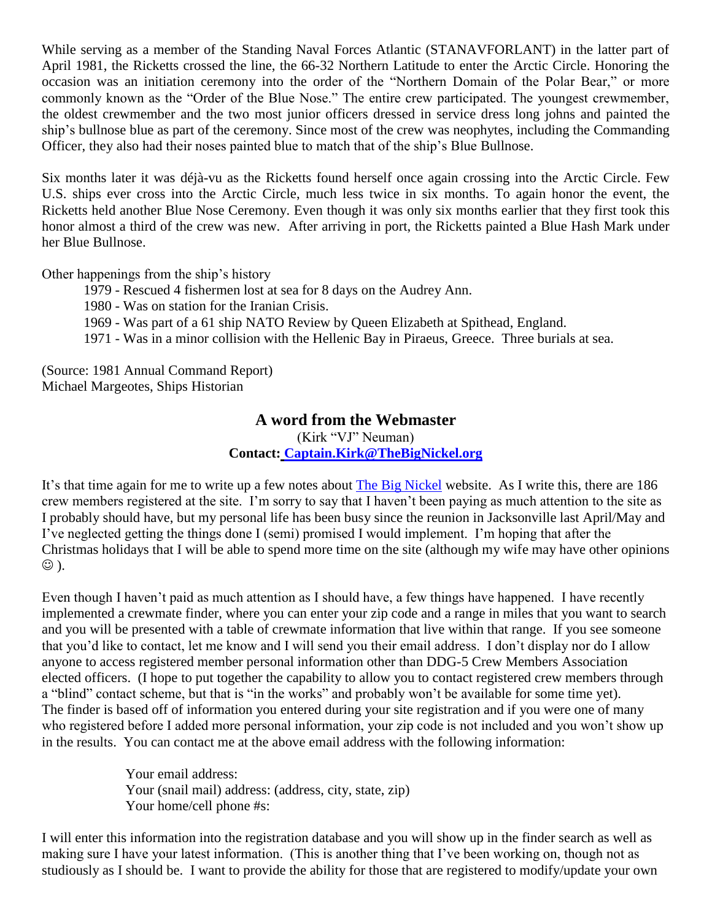While serving as a member of the Standing Naval Forces Atlantic (STANAVFORLANT) in the latter part of April 1981, the Ricketts crossed the line, the 66-32 Northern Latitude to enter the Arctic Circle. Honoring the occasion was an initiation ceremony into the order of the "Northern Domain of the Polar Bear," or more commonly known as the "Order of the Blue Nose." The entire crew participated. The youngest crewmember, the oldest crewmember and the two most junior officers dressed in service dress long johns and painted the ship's bullnose blue as part of the ceremony. Since most of the crew was neophytes, including the Commanding Officer, they also had their noses painted blue to match that of the ship's Blue Bullnose.

Six months later it was déjà-vu as the Ricketts found herself once again crossing into the Arctic Circle. Few U.S. ships ever cross into the Arctic Circle, much less twice in six months. To again honor the event, the Ricketts held another Blue Nose Ceremony. Even though it was only six months earlier that they first took this honor almost a third of the crew was new. After arriving in port, the Ricketts painted a Blue Hash Mark under her Blue Bullnose.

Other happenings from the ship's history

- 1979 Rescued 4 fishermen lost at sea for 8 days on the Audrey Ann.
- 1980 Was on station for the Iranian Crisis.
- 1969 Was part of a 61 ship NATO Review by Queen Elizabeth at Spithead, England.
- 1971 Was in a minor collision with the Hellenic Bay in Piraeus, Greece. Three burials at sea.

(Source: 1981 Annual Command Report) Michael Margeotes, Ships Historian

## **A word from the Webmaster**

(Kirk "VJ" Neuman)

**Contact: [Captain.Kirk@TheBigNickel.org](mailto:captain.kirk@thebignickel.org)**

It's that time again for me to write up a few notes about [The Big Nickel](http://thebignickel.org/) website. As I write this, there are 186 crew members registered at the site. I'm sorry to say that I haven't been paying as much attention to the site as I probably should have, but my personal life has been busy since the reunion in Jacksonville last April/May and I've neglected getting the things done I (semi) promised I would implement. I'm hoping that after the Christmas holidays that I will be able to spend more time on the site (although my wife may have other opinions ).

Even though I haven't paid as much attention as I should have, a few things have happened. I have recently implemented a crewmate finder, where you can enter your zip code and a range in miles that you want to search and you will be presented with a table of crewmate information that live within that range. If you see someone that you'd like to contact, let me know and I will send you their email address. I don't display nor do I allow anyone to access registered member personal information other than DDG-5 Crew Members Association elected officers. (I hope to put together the capability to allow you to contact registered crew members through a "blind" contact scheme, but that is "in the works" and probably won't be available for some time yet). The finder is based off of information you entered during your site registration and if you were one of many who registered before I added more personal information, your zip code is not included and you won't show up in the results. You can contact me at the above email address with the following information:

> Your email address: Your (snail mail) address: (address, city, state, zip) Your home/cell phone #s:

I will enter this information into the registration database and you will show up in the finder search as well as making sure I have your latest information. (This is another thing that I've been working on, though not as studiously as I should be. I want to provide the ability for those that are registered to modify/update your own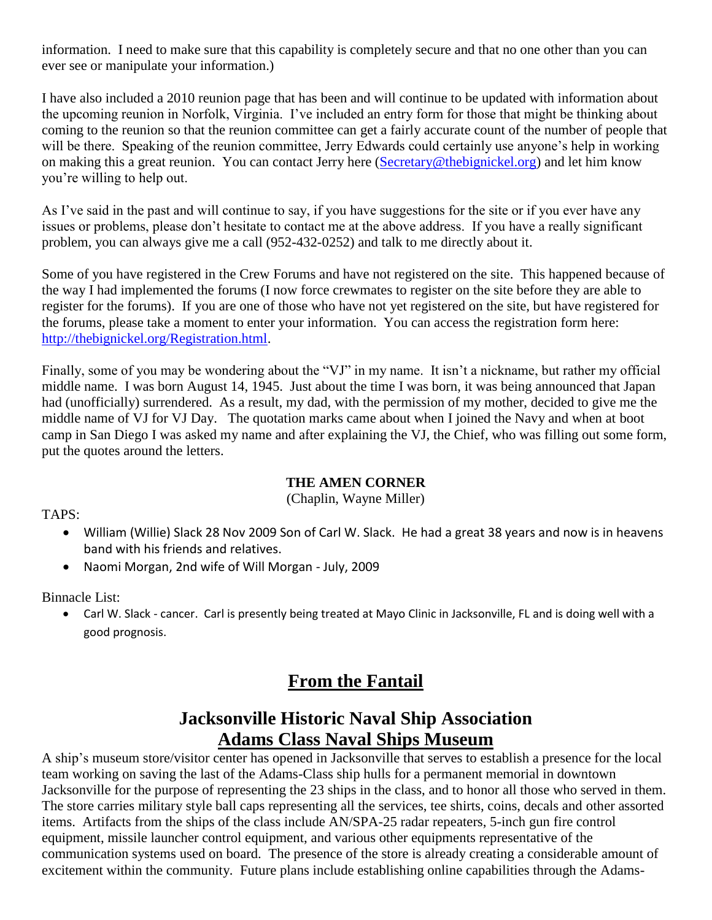information. I need to make sure that this capability is completely secure and that no one other than you can ever see or manipulate your information.)

I have also included a 2010 reunion page that has been and will continue to be updated with information about the upcoming reunion in Norfolk, Virginia. I've included an entry form for those that might be thinking about coming to the reunion so that the reunion committee can get a fairly accurate count of the number of people that will be there. Speaking of the reunion committee, Jerry Edwards could certainly use anyone's help in working on making this a great reunion. You can contact Jerry here [\(Secretary@thebignickel.org\)](mailto:Secretary@thebignickel.org) and let him know you're willing to help out.

As I've said in the past and will continue to say, if you have suggestions for the site or if you ever have any issues or problems, please don't hesitate to contact me at the above address. If you have a really significant problem, you can always give me a call (952-432-0252) and talk to me directly about it.

Some of you have registered in the Crew Forums and have not registered on the site. This happened because of the way I had implemented the forums (I now force crewmates to register on the site before they are able to register for the forums). If you are one of those who have not yet registered on the site, but have registered for the forums, please take a moment to enter your information. You can access the registration form here: [http://thebignickel.org/Registration.html.](http://thebignickel.org/Registration.html)

Finally, some of you may be wondering about the "VJ" in my name. It isn't a nickname, but rather my official middle name. I was born August 14, 1945. Just about the time I was born, it was being announced that Japan had (unofficially) surrendered. As a result, my dad, with the permission of my mother, decided to give me the middle name of VJ for VJ Day. The quotation marks came about when I joined the Navy and when at boot camp in San Diego I was asked my name and after explaining the VJ, the Chief, who was filling out some form, put the quotes around the letters.

### **THE AMEN CORNER**

(Chaplin, Wayne Miller)

TAPS:

- William (Willie) Slack 28 Nov 2009 Son of Carl W. Slack. He had a great 38 years and now is in heavens band with his friends and relatives.
- Naomi Morgan, 2nd wife of Will Morgan July, 2009

Binnacle List:

 Carl W. Slack - cancer. Carl is presently being treated at Mayo Clinic in Jacksonville, FL and is doing well with a good prognosis.

# **From the Fantail**

# **Jacksonville Historic Naval Ship Association Adams Class Naval Ships Museum**

A ship's museum store/visitor center has opened in Jacksonville that serves to establish a presence for the local team working on saving the last of the Adams-Class ship hulls for a permanent memorial in downtown Jacksonville for the purpose of representing the 23 ships in the class, and to honor all those who served in them. The store carries military style ball caps representing all the services, tee shirts, coins, decals and other assorted items. Artifacts from the ships of the class include AN/SPA-25 radar repeaters, 5-inch gun fire control equipment, missile launcher control equipment, and various other equipments representative of the communication systems used on board. The presence of the store is already creating a considerable amount of excitement within the community. Future plans include establishing online capabilities through the Adams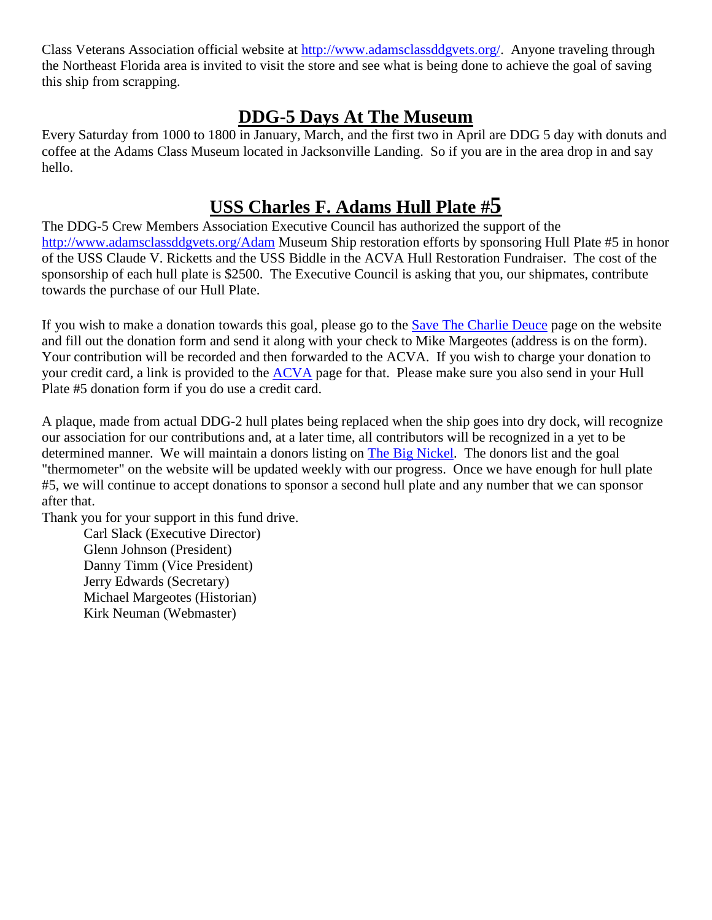Class Veterans Association official website at [http://www.adamsclassddgvets.org/.](http://www.adamsclassddgvets.org/) Anyone traveling through the Northeast Florida area is invited to visit the store and see what is being done to achieve the goal of saving this ship from scrapping.

# **DDG-5 Days At The Museum**

Every Saturday from 1000 to 1800 in January, March, and the first two in April are DDG 5 day with donuts and coffee at the Adams Class Museum located in Jacksonville Landing. So if you are in the area drop in and say hello.

# **USS Charles F. Adams Hull Plate #5**

The DDG-5 Crew Members Association Executive Council has authorized the support of the [http://www.adamsclassddgvets.org/Adam](http://www.adamsclassddgvets.org/) Museum Ship restoration efforts by sponsoring Hull Plate #5 in honor of the USS Claude V. Ricketts and the USS Biddle in the ACVA Hull Restoration Fundraiser. The cost of the sponsorship of each hull plate is \$2500. The Executive Council is asking that you, our shipmates, contribute towards the purchase of our Hull Plate.

If you wish to make a donation towards this goal, please go to the [Save The Charlie Deuce](http://thebignickel.org/SaveTheCharlieDeuce.html) page on the website and fill out the donation form and send it along with your check to Mike Margeotes (address is on the form). Your contribution will be recorded and then forwarded to the ACVA. If you wish to charge your donation to your credit card, a link is provided to the [ACVA](http://www.adamsclassddgvets.org/) page for that. Please make sure you also send in your Hull Plate #5 donation form if you do use a credit card.

A plaque, made from actual DDG-2 hull plates being replaced when the ship goes into dry dock, will recognize our association for our contributions and, at a later time, all contributors will be recognized in a yet to be determined manner. We will maintain a donors listing on **The Big Nickel**. The donors list and the goal "thermometer" on the website will be updated weekly with our progress. Once we have enough for hull plate #5, we will continue to accept donations to sponsor a second hull plate and any number that we can sponsor after that.

Thank you for your support in this fund drive. Carl Slack (Executive Director) Glenn Johnson (President) Danny Timm (Vice President) Jerry Edwards (Secretary) Michael Margeotes (Historian) Kirk Neuman (Webmaster)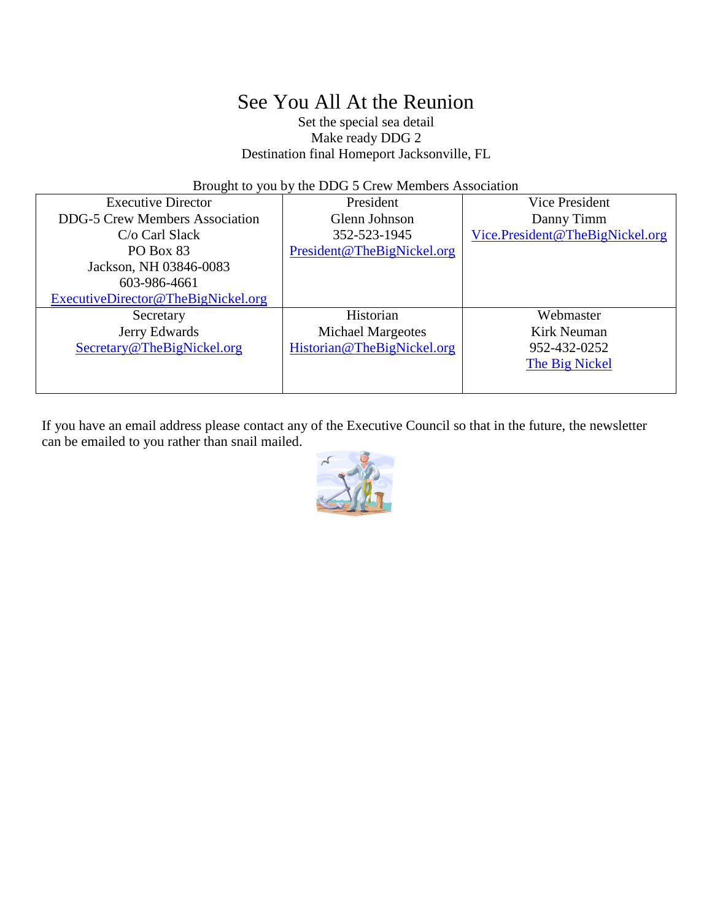# See You All At the Reunion

Set the special sea detail Make ready DDG 2 Destination final Homeport Jacksonville, FL

Brought to you by the DDG 5 Crew Members Association

| <b>Executive Director</b>             | President                  | Vice President                  |  |
|---------------------------------------|----------------------------|---------------------------------|--|
| <b>DDG-5 Crew Members Association</b> | Glenn Johnson              | Danny Timm                      |  |
| $C/O$ Carl Slack                      | 352-523-1945               | Vice.President@TheBigNickel.org |  |
| PO Box 83                             | President@TheBigNickel.org |                                 |  |
| Jackson, NH 03846-0083                |                            |                                 |  |
| 603-986-4661                          |                            |                                 |  |
| ExecutiveDirector@TheBigNickel.org    |                            |                                 |  |
| Secretary                             | Historian                  | Webmaster                       |  |
| Jerry Edwards                         | <b>Michael Margeotes</b>   | Kirk Neuman                     |  |
| Secretary@TheBigNickel.org            | Historian@TheBigNickel.org | 952-432-0252                    |  |
|                                       |                            | The Big Nickel                  |  |
|                                       |                            |                                 |  |

If you have an email address please contact any of the Executive Council so that in the future, the newsletter can be emailed to you rather than snail mailed.